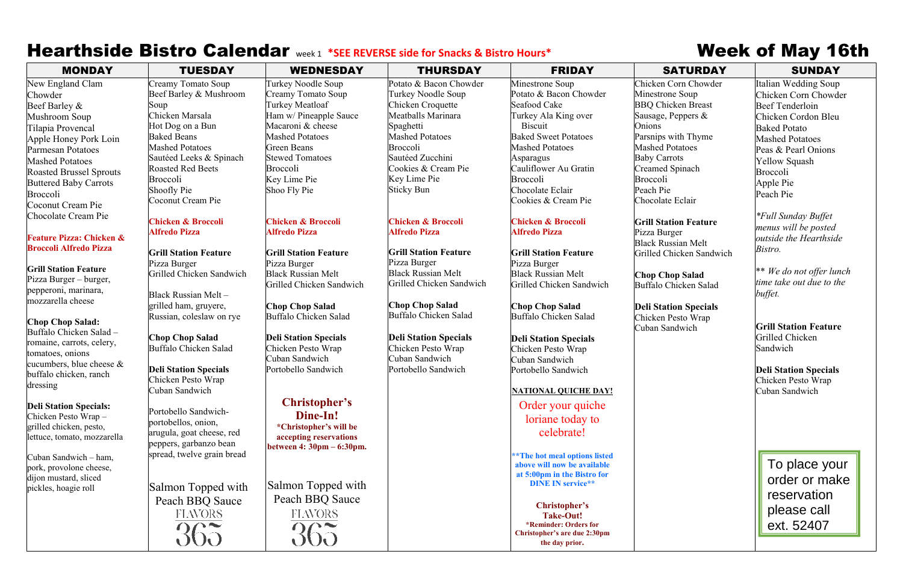## Hearthside Bistro Calendar week 1 \*SEE REVERSE side for Snacks & Bistro Hours\* Week of May 16th

| <b>MONDAY</b>                       | <b>TUESDAY</b>                                  | <b>WEDNESDAY</b>                                   | <b>THURSDAY</b>                                    | <b>FRIDAY</b>                                         | <b>SATURDAY</b>              | <b>SUNDAY</b>                     |
|-------------------------------------|-------------------------------------------------|----------------------------------------------------|----------------------------------------------------|-------------------------------------------------------|------------------------------|-----------------------------------|
| New England Clam                    | Creamy Tomato Soup                              | Turkey Noodle Soup                                 | Potato & Bacon Chowder                             | Minestrone Soup                                       | Chicken Corn Chowder         | Italian Wedding Soup              |
| Chowder                             | Beef Barley & Mushroom                          | Creamy Tomato Soup                                 | Turkey Noodle Soup                                 | Potato & Bacon Chowder                                | Minestrone Soup              | Chicken Corn Chowd                |
| Beef Barley &                       | Soup                                            | Turkey Meatloaf                                    | Chicken Croquette                                  | Seafood Cake                                          | <b>BBQ Chicken Breast</b>    | Beef Tenderloin                   |
| Mushroom Soup                       | Chicken Marsala                                 | Ham w/ Pineapple Sauce                             | Meatballs Marinara                                 | Turkey Ala King over                                  | Sausage, Peppers &           | Chicken Cordon Bleu               |
| Tilapia Provencal                   | Hot Dog on a Bun                                | Macaroni & cheese                                  | Spaghetti                                          | <b>Biscuit</b>                                        | Onions                       | <b>Baked Potato</b>               |
| Apple Honey Pork Loin               | <b>Baked Beans</b>                              | <b>Mashed Potatoes</b>                             | <b>Mashed Potatoes</b>                             | <b>Baked Sweet Potatoes</b>                           | Parsnips with Thyme          | <b>Mashed Potatoes</b>            |
| <b>Parmesan Potatoes</b>            | <b>Mashed Potatoes</b>                          | <b>Green Beans</b>                                 | Broccoli                                           | <b>Mashed Potatoes</b>                                | <b>Mashed Potatoes</b>       | Peas & Pearl Onions               |
| <b>Mashed Potatoes</b>              | Sautéed Leeks & Spinach                         | <b>Stewed Tomatoes</b>                             | Sautéed Zucchini                                   | Asparagus                                             | <b>Baby Carrots</b>          | Yellow Squash                     |
| <b>Roasted Brussel Sprouts</b>      | <b>Roasted Red Beets</b>                        | <b>Broccoli</b>                                    | Cookies & Cream Pie                                | Cauliflower Au Gratin                                 | Creamed Spinach              | Broccoli                          |
| <b>Buttered Baby Carrots</b>        | Broccoli                                        | Key Lime Pie                                       | Key Lime Pie                                       | <b>Broccoli</b>                                       | Broccoli                     | Apple Pie                         |
| Broccoli                            | Shoofly Pie                                     | Shoo Fly Pie                                       | <b>Sticky Bun</b>                                  | Chocolate Eclair                                      | Peach Pie                    | Peach Pie                         |
| <b>Coconut Cream Pie</b>            | Coconut Cream Pie                               |                                                    |                                                    | Cookies & Cream Pie                                   | Chocolate Eclair             |                                   |
| Chocolate Cream Pie                 |                                                 |                                                    |                                                    |                                                       |                              | <i><b>*Full Sunday Buffet</b></i> |
|                                     | <b>Chicken &amp; Broccoli</b>                   | <b>Chicken &amp; Broccoli</b>                      | <b>Chicken &amp; Broccoli</b>                      | <b>Chicken &amp; Broccoli</b>                         | <b>Grill Station Feature</b> | menus will be posted              |
| <b>Feature Pizza: Chicken &amp;</b> | <b>Alfredo Pizza</b>                            | <b>Alfredo Pizza</b>                               | <b>Alfredo Pizza</b>                               | <b>Alfredo Pizza</b>                                  | Pizza Burger                 | outside the Hearthside            |
| <b>Broccoli Alfredo Pizza</b>       |                                                 |                                                    |                                                    |                                                       | <b>Black Russian Melt</b>    | Bistro.                           |
|                                     | <b>Grill Station Feature</b>                    | <b>Grill Station Feature</b>                       | <b>Grill Station Feature</b>                       | <b>Grill Station Feature</b>                          | Grilled Chicken Sandwich     |                                   |
| <b>Grill Station Feature</b>        | Pizza Burger                                    | Pizza Burger                                       | Pizza Burger                                       | Pizza Burger                                          |                              | ** We do not offer lur            |
| Pizza Burger – burger,              | Grilled Chicken Sandwich                        | <b>Black Russian Melt</b>                          | <b>Black Russian Melt</b>                          | <b>Black Russian Melt</b>                             | <b>Chop Chop Salad</b>       | time take out due to th           |
| pepperoni, marinara,                |                                                 | Grilled Chicken Sandwich                           | Grilled Chicken Sandwich                           | Grilled Chicken Sandwich                              | Buffalo Chicken Salad        | buffet.                           |
| mozzarella cheese                   | Black Russian Melt-                             |                                                    |                                                    |                                                       |                              |                                   |
|                                     | grilled ham, gruyere,                           | <b>Chop Chop Salad</b>                             | <b>Chop Chop Salad</b><br>Buffalo Chicken Salad    | <b>Chop Chop Salad</b>                                | <b>Deli Station Specials</b> |                                   |
| <b>Chop Chop Salad:</b>             | Russian, coleslaw on rye                        | Buffalo Chicken Salad                              |                                                    | Buffalo Chicken Salad                                 | Chicken Pesto Wrap           | <b>Grill Station Feature</b>      |
| Buffalo Chicken Salad -             |                                                 |                                                    |                                                    |                                                       | Cuban Sandwich               | Grilled Chicken                   |
| romaine, carrots, celery,           | <b>Chop Chop Salad</b><br>Buffalo Chicken Salad | <b>Deli Station Specials</b><br>Chicken Pesto Wrap | <b>Deli Station Specials</b><br>Chicken Pesto Wrap | <b>Deli Station Specials</b>                          |                              | Sandwich                          |
| tomatoes, onions                    |                                                 | Cuban Sandwich                                     | Cuban Sandwich                                     | Chicken Pesto Wrap<br>Cuban Sandwich                  |                              |                                   |
| cucumbers, blue cheese $\&$         | <b>Deli Station Specials</b>                    | Portobello Sandwich                                | Portobello Sandwich                                | Portobello Sandwich                                   |                              | <b>Deli Station Specials</b>      |
| buffalo chicken, ranch              | Chicken Pesto Wrap                              |                                                    |                                                    |                                                       |                              | Chicken Pesto Wrap                |
| dressing                            | Cuban Sandwich                                  |                                                    |                                                    | <b>NATIONAL QUICHE DAY!</b>                           |                              | Cuban Sandwich                    |
|                                     |                                                 | <b>Christopher's</b>                               |                                                    |                                                       |                              |                                   |
| <b>Deli Station Specials:</b>       | Portobello Sandwich-                            |                                                    |                                                    | Order your quiche                                     |                              |                                   |
| Chicken Pesto Wrap -                | portobellos, onion,                             | Dine-In!                                           |                                                    | loriane today to                                      |                              |                                   |
| grilled chicken, pesto,             | arugula, goat cheese, red                       | <i>*Christopher's will be</i>                      |                                                    | celebrate!                                            |                              |                                   |
| lettuce, tomato, mozzarella         | peppers, garbanzo bean                          | accepting reservations                             |                                                    |                                                       |                              |                                   |
| Cuban Sandwich - ham,               | spread, twelve grain bread                      | between 4: 30pm – 6:30pm.                          |                                                    | ** The hot meal options listed                        |                              |                                   |
| pork, provolone cheese,             |                                                 |                                                    |                                                    | above will now be available                           |                              | To place you                      |
| dijon mustard, sliced               |                                                 |                                                    |                                                    | at 5:00pm in the Bistro for                           |                              |                                   |
| pickles, hoagie roll                | Salmon Topped with                              | Salmon Topped with                                 |                                                    | <b>DINE IN service**</b>                              |                              | order or mak                      |
|                                     |                                                 | Peach BBQ Sauce                                    |                                                    |                                                       |                              | reservation                       |
|                                     | Peach BBQ Sauce                                 |                                                    |                                                    | Christopher's                                         |                              | please call                       |
|                                     | <b>FIAVORS</b>                                  | FIAVORS.                                           |                                                    | Take-Out!                                             |                              |                                   |
|                                     | 365                                             |                                                    |                                                    | *Reminder: Orders for<br>Christopher's are due 2:30pm |                              | ext. 52407                        |
|                                     |                                                 | 365                                                |                                                    | the day prior.                                        |                              |                                   |
|                                     |                                                 |                                                    |                                                    |                                                       |                              |                                   |

### **ation Feature**

### **Chop Chop Salad**

## *<u>Ation Specials</u>*

Italian Wedding Soup Chicken Corn Chowder Beef Tenderloin Chicken Cordon Bleu Baked Potato Mashed Potatoes Peas & Pearl Onions Yellow Squash Broccoli Apple Pie Peach Pie

*\*Full Sunday Buffet menus will be posted outside the Hearthside Bistro.*

\*\* *We do not offer lunch time take out due to the buffet.*

> To place your order or make reservation please call ext. 52407